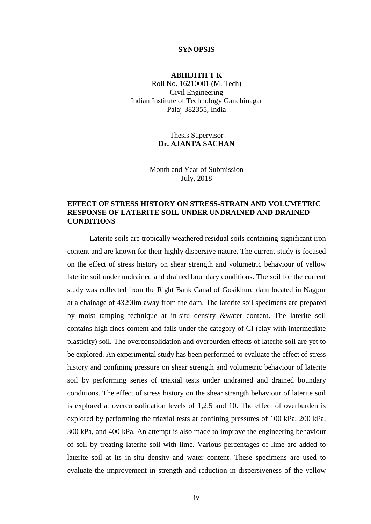## **SYNOPSIS**

## **ABHIJITH T K**

Roll No. 16210001 (M. Tech) Civil Engineering Indian Institute of Technology Gandhinagar Palaj-382355, India

> Thesis Supervisor **Dr. AJANTA SACHAN**

Month and Year of Submission July, 2018

## **EFFECT OF STRESS HISTORY ON STRESS-STRAIN AND VOLUMETRIC RESPONSE OF LATERITE SOIL UNDER UNDRAINED AND DRAINED CONDITIONS**

Laterite soils are tropically weathered residual soils containing significant iron content and are known for their highly dispersive nature. The current study is focused on the effect of stress history on shear strength and volumetric behaviour of yellow laterite soil under undrained and drained boundary conditions. The soil for the current study was collected from the Right Bank Canal of Gosikhurd dam located in Nagpur at a chainage of 43290m away from the dam. The laterite soil specimens are prepared by moist tamping technique at in-situ density &water content. The laterite soil contains high fines content and falls under the category of CI (clay with intermediate plasticity) soil. The overconsolidation and overburden effects of laterite soil are yet to be explored. An experimental study has been performed to evaluate the effect of stress history and confining pressure on shear strength and volumetric behaviour of laterite soil by performing series of triaxial tests under undrained and drained boundary conditions. The effect of stress history on the shear strength behaviour of laterite soil is explored at overconsolidation levels of 1,2,5 and 10. The effect of overburden is explored by performing the triaxial tests at confining pressures of 100 kPa, 200 kPa, 300 kPa, and 400 kPa. An attempt is also made to improve the engineering behaviour of soil by treating laterite soil with lime. Various percentages of lime are added to laterite soil at its in-situ density and water content. These specimens are used to evaluate the improvement in strength and reduction in dispersiveness of the yellow